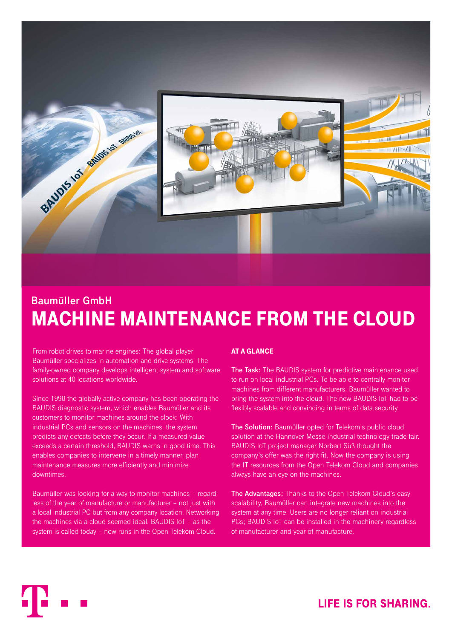

# **Baumüller GmbH** MACHINE MAINTENANCE FROM THE CLOUD

From robot drives to marine engines: The global player Baumüller specializes in automation and drive systems. The family-owned company develops intelligent system and software solutions at 40 locations worldwide.

Since 1998 the globally active company has been operating the BAUDIS diagnostic system, which enables Baumüller and its customers to monitor machines around the clock: With industrial PCs and sensors on the machines, the system predicts any defects before they occur. If a measured value exceeds a certain threshold, BAUDIS warns in good time. This enables companies to intervene in a timely manner, plan maintenance measures more efficiently and minimize downtimes.

Baumüller was looking for a way to monitor machines – regardless of the year of manufacture or manufacturer – not just with a local industrial PC but from any company location. Networking the machines via a cloud seemed ideal. BAUDIS IoT – as the system is called today – now runs in the Open Telekom Cloud.

### AT A GLANCE

**The Task:** The BAUDIS system for predictive maintenance used to run on local industrial PCs. To be able to centrally monitor machines from different manufacturers, Baumüller wanted to bring the system into the cloud. The new BAUDIS IoT had to be flexibly scalable and convincing in terms of data security

**The Solution:** Baumüller opted for Telekom's public cloud solution at the Hannover Messe industrial technology trade fair. BAUDIS IoT project manager Norbert Süß thought the company's offer was the right fit. Now the company is using the IT resources from the Open Telekom Cloud and companies always have an eye on the machines.

**The Advantages:** Thanks to the Open Telekom Cloud's easy scalability, Baumüller can integrate new machines into the system at any time. Users are no longer reliant on industrial PCs; BAUDIS IoT can be installed in the machinery regardless of manufacturer and year of manufacture.

## **LIFE IS FOR SHARING.**